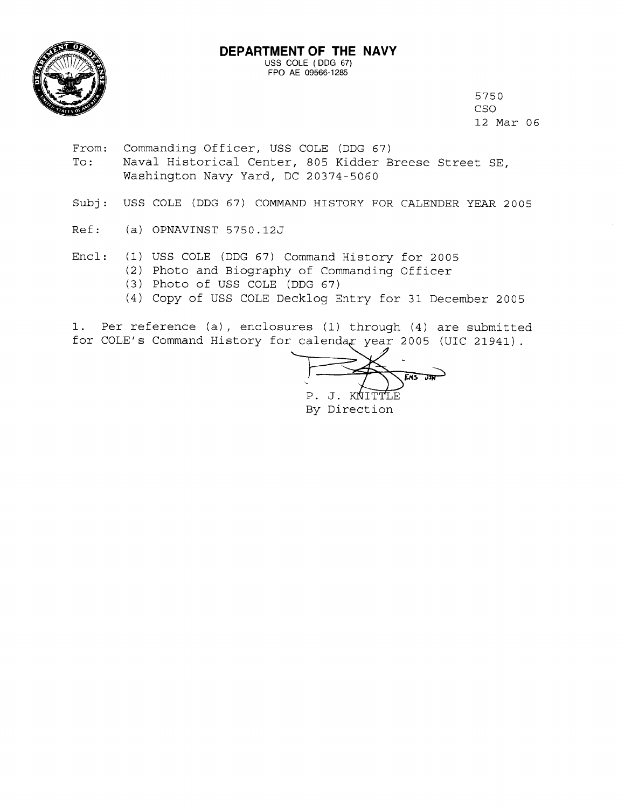

5750 CSO 12 Mar 06

From: Commanding Officer, USS COLE (DDG 67)

- Naval Historical Center, 805 Kidder Breese Street SE,  $To:$ Washington Navy Yard, DC 20374-5060
- Subj: USS COLE (DDG 67) COMMAND HISTORY FOR CALENDER YEAR 2005
- $Ref:$ (a) OPNAVINST 5750.12J
- $Encl:$ (1) USS COLE (DDG 67) Command History for 2005 (2) Photo and Biography of Commanding Officer (3) Photo of USS COLE (DDG 67)
	- (4) Copy of USS COLE Decklog Entry for 31 December 2005

1. Per reference (a), enclosures (1) through (4) are submitted for COLE's Command History for calendar year 2005 (UIC 21941).

 $FMS$   $\overline{DBN}$ P. J. KNITTLE By Direction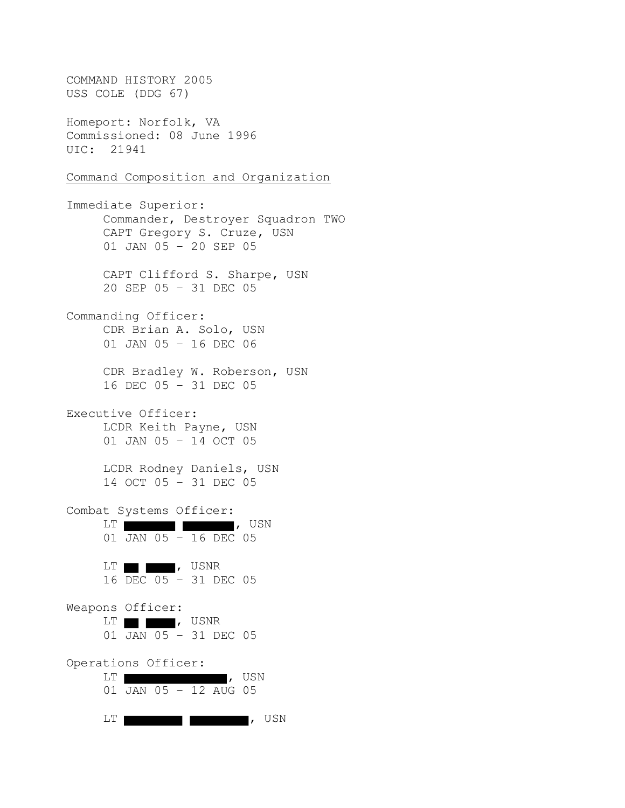COMMAND HISTORY 2005 USS COLE (DDG 67) Homeport: Norfolk, VA Commissioned: 08 June 1996 UIC: 21941 Command Composition and Organization Immediate Superior: Commander, Destroyer Squadron TWO CAPT Gregory S. Cruze, USN 01 JAN 05 – 20 SEP 05 CAPT Clifford S. Sharpe, USN 20 SEP 05 – 31 DEC 05 Commanding Officer: CDR Brian A. Solo, USN 01 JAN 05 – 16 DEC 06 CDR Bradley W. Roberson, USN 16 DEC 05 – 31 DEC 05 Executive Officer: LCDR Keith Payne, USN 01 JAN 05 – 14 OCT 05 LCDR Rodney Daniels, USN 14 OCT 05 – 31 DEC 05 Combat Systems Officer: LT , USN 01 JAN 05 – 16 DEC 05 LT **d**, USNR 16 DEC 05 – 31 DEC 05 Weapons Officer: LT , USNR 01 JAN 05 – 31 DEC 05 Operations Officer: LT **I**, USN 01 JAN 05 – 12 AUG 05 LT **I I I I I I I I**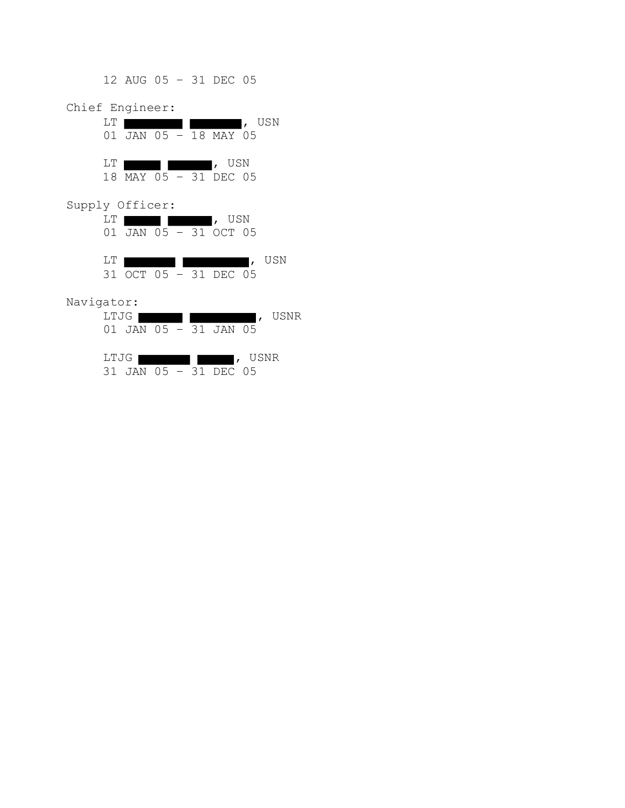12 AUG 05 – 31 DEC 05 Chief Engineer: LT **the contract of the contract of the contract of the contract of the contract of the contract of the contract of the contract of the contract of the contract of the contract of the contract of the contract of the contra** 01 JAN 05 – 18 MAY 05 LT **International Property**, USN 18 MAY 05 – 31 DEC 05 Supply Officer: LT **the contract of the contract of the contract of the contract of the contract of the contract of the contract of the contract of the contract of the contract of the contract of the contract of the contract of the contra** 01 JAN 05 – 31 OCT 05 LT **definition in the contract of the contract of the contract of the contract of the contract of the contract of the contract of the contract of the contract of the contract of the contract of the contract of the contract**  31 OCT 05 – 31 DEC 05 Navigator:

| LTJG I |                             | I, USNR |
|--------|-----------------------------|---------|
|        | $01$ JAN $05 - 31$ JAN $05$ |         |
|        |                             |         |
| LTJG I |                             | USNR    |
| 31.    | JAN 05 - 31 DEC 05          |         |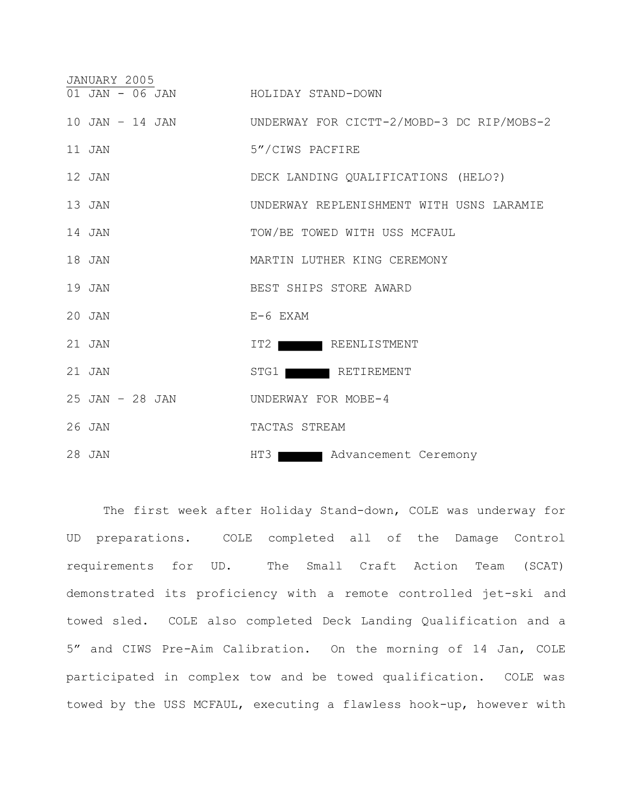| JANUARY 2005                       |                                                           |
|------------------------------------|-----------------------------------------------------------|
| 01 JAN - 06 JAN HOLIDAY STAND-DOWN |                                                           |
|                                    | 10 JAN - 14 JAN UNDERWAY FOR CICTT-2/MOBD-3 DC RIP/MOBS-2 |
| 11 JAN                             | 5"/CIWS PACFIRE                                           |
| 12 JAN                             | DECK LANDING QUALIFICATIONS (HELO?)                       |
| 13 JAN                             | UNDERWAY REPLENISHMENT WITH USNS LARAMIE                  |
| 14 JAN                             | TOW/BE TOWED WITH USS MCFAUL                              |
| 18 JAN                             | MARTIN LUTHER KING CEREMONY                               |
| 19 JAN                             | BEST SHIPS STORE AWARD                                    |
| $20$ JAN                           | E-6 EXAM                                                  |
| 21 JAN                             | IT2 REENLISTMENT                                          |
| $21$ JAN                           | STG1 RETIREMENT                                           |
| 25 JAN - 28 JAN                    | UNDERWAY FOR MOBE-4                                       |
| 26 JAN                             | TACTAS STREAM                                             |
| 28 JAN                             | HT3 Advancement Ceremony                                  |

The first week after Holiday Stand-down, COLE was underway for UD preparations. COLE completed all of the Damage Control requirements for UD. The Small Craft Action Team (SCAT) demonstrated its proficiency with a remote controlled jet-ski and towed sled. COLE also completed Deck Landing Qualification and a 5" and CIWS Pre-Aim Calibration. On the morning of 14 Jan, COLE participated in complex tow and be towed qualification. COLE was towed by the USS MCFAUL, executing a flawless hook-up, however with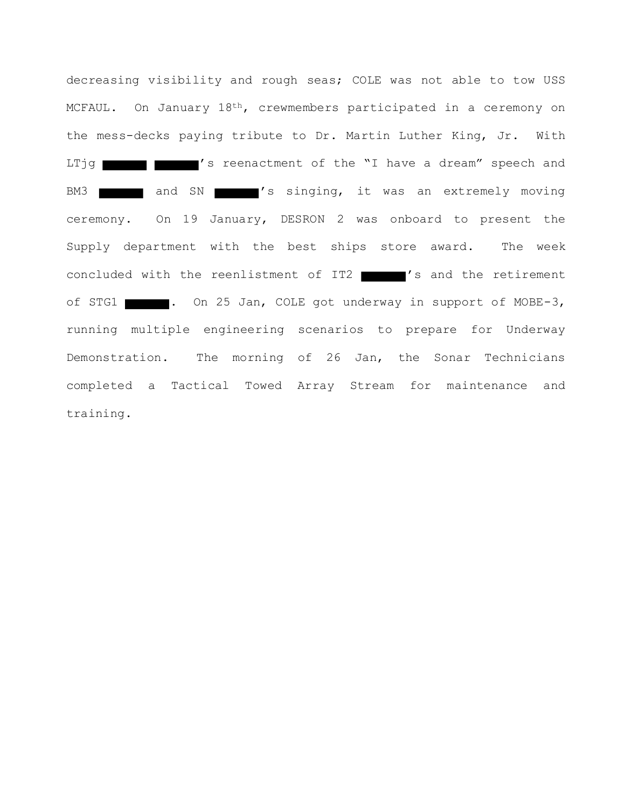decreasing visibility and rough seas; COLE was not able to tow USS MCFAUL. On January 18th, crewmembers participated in a ceremony on the mess-decks paying tribute to Dr. Martin Luther King, Jr. With LTjg **THE TIME I**'s reenactment of the "I have a dream" speech and BM3 and SN 's singing, it was an extremely moving ceremony. On 19 January, DESRON 2 was onboard to present the Supply department with the best ships store award. The week concluded with the reenlistment of IT2 's and the retirement of STG1 . On 25 Jan, COLE got underway in support of MOBE-3, running multiple engineering scenarios to prepare for Underway Demonstration. The morning of 26 Jan, the Sonar Technicians completed a Tactical Towed Array Stream for maintenance and training.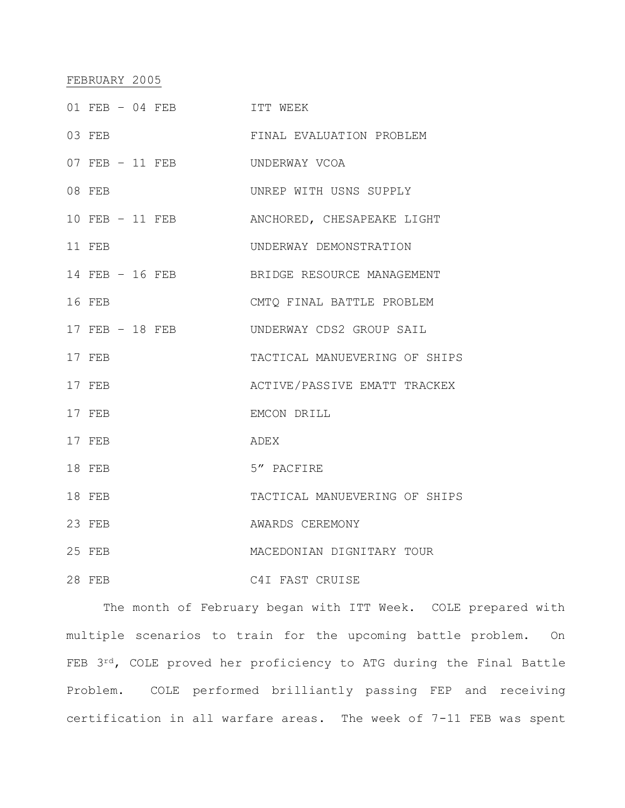## FEBRUARY 2005

| 01 FEB - 04 FEB | ITT WEEK                                   |
|-----------------|--------------------------------------------|
| 03 FEB          | FINAL EVALUATION PROBLEM                   |
| 07 FEB - 11 FEB | UNDERWAY VCOA                              |
| 08 FEB          | UNREP WITH USNS SUPPLY                     |
| 10 FEB - 11 FEB | ANCHORED, CHESAPEAKE LIGHT                 |
| 11 FEB          | UNDERWAY DEMONSTRATION                     |
|                 | 14 FEB - 16 FEB BRIDGE RESOURCE MANAGEMENT |
| 16 FEB          | CMTO FINAL BATTLE PROBLEM                  |
| 17 FEB - 18 FEB | UNDERWAY CDS2 GROUP SAIL                   |
| 17 FEB          | TACTICAL MANUEVERING OF SHIPS              |
| 17 FEB          | ACTIVE/PASSIVE EMATT TRACKEX               |
| 17 FEB          | EMCON DRILL                                |
| 17 FEB          | ADEX                                       |
| 18 FEB          | 5" PACFIRE                                 |
| 18 FEB          | TACTICAL MANUEVERING OF SHIPS              |
| 23 FEB          | AWARDS CEREMONY                            |
| 25 FEB          | MACEDONIAN DIGNITARY TOUR                  |
| 28 FEB          | C4I FAST CRUISE                            |

The month of February began with ITT Week. COLE prepared with multiple scenarios to train for the upcoming battle problem. On FEB 3rd, COLE proved her proficiency to ATG during the Final Battle Problem. COLE performed brilliantly passing FEP and receiving certification in all warfare areas. The week of 7-11 FEB was spent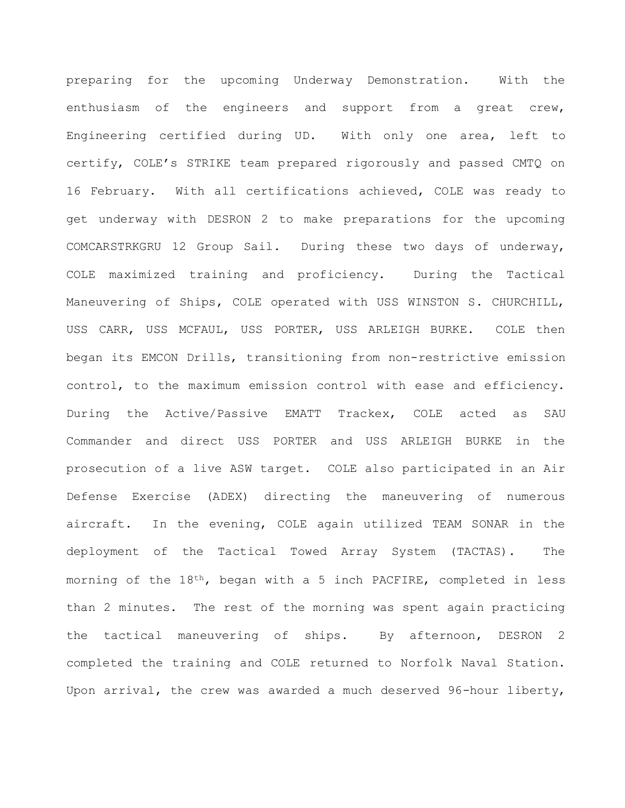preparing for the upcoming Underway Demonstration. With the enthusiasm of the engineers and support from a great crew, Engineering certified during UD. With only one area, left to certify, COLE's STRIKE team prepared rigorously and passed CMTQ on 16 February. With all certifications achieved, COLE was ready to get underway with DESRON 2 to make preparations for the upcoming COMCARSTRKGRU 12 Group Sail. During these two days of underway, COLE maximized training and proficiency. During the Tactical Maneuvering of Ships, COLE operated with USS WINSTON S. CHURCHILL, USS CARR, USS MCFAUL, USS PORTER, USS ARLEIGH BURKE. COLE then began its EMCON Drills, transitioning from non-restrictive emission control, to the maximum emission control with ease and efficiency. During the Active/Passive EMATT Trackex, COLE acted as SAU Commander and direct USS PORTER and USS ARLEIGH BURKE in the prosecution of a live ASW target. COLE also participated in an Air Defense Exercise (ADEX) directing the maneuvering of numerous aircraft. In the evening, COLE again utilized TEAM SONAR in the deployment of the Tactical Towed Array System (TACTAS). The morning of the 18th, began with a 5 inch PACFIRE, completed in less than 2 minutes. The rest of the morning was spent again practicing the tactical maneuvering of ships. By afternoon, DESRON 2 completed the training and COLE returned to Norfolk Naval Station. Upon arrival, the crew was awarded a much deserved 96-hour liberty,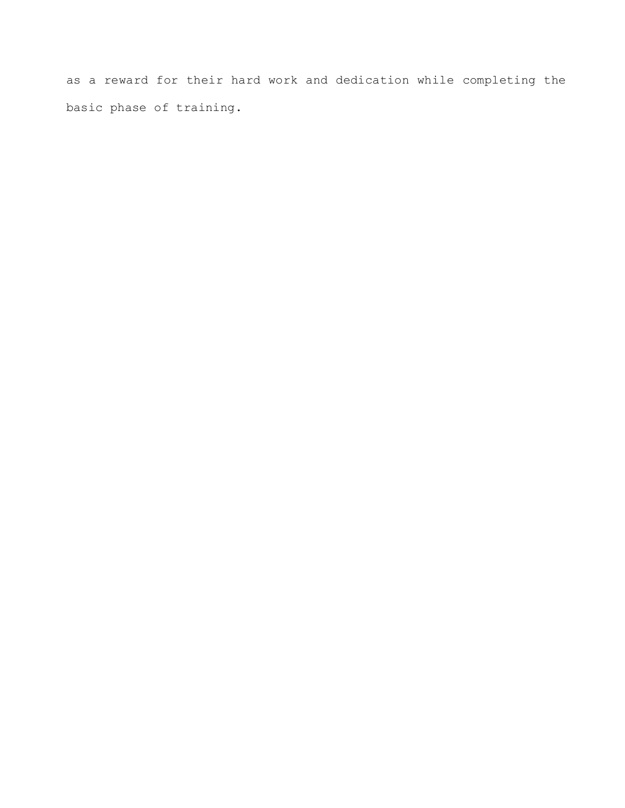as a reward for their hard work and dedication while completing the basic phase of training.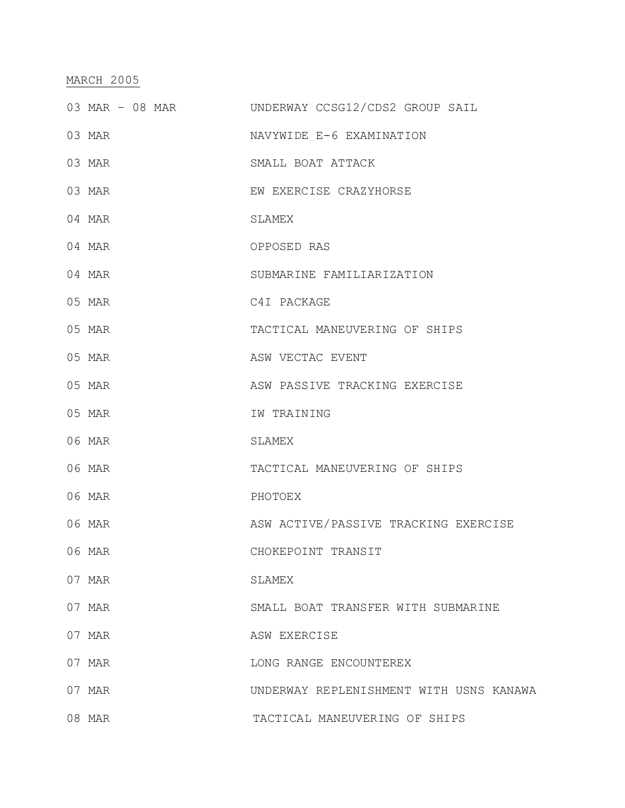### MARCH 2005

- 03 MAR 08 MAR UNDERWAY CCSG12/CDS2 GROUP SAIL
- 03 MAR NAVYWIDE E-6 EXAMINATION
- 03 MAR SMALL BOAT ATTACK
- 03 MAR **EW EXERCISE CRAZYHORSE**
- 04 MAR SLAMEX
- 04 MAR OPPOSED RAS
- 04 MAR SUBMARINE FAMILIARIZATION
- 05 MAR C4I PACKAGE
- 05 MAR TACTICAL MANEUVERING OF SHIPS
- 05 MAR **ASW VECTAC EVENT**
- 05 MAR **ASW PASSIVE TRACKING EXERCISE**
- 05 MAR IW TRAINING
- 06 MAR SLAMEX
- 06 MAR TACTICAL MANEUVERING OF SHIPS
- 06 MAR PHOTOEX
- 06 MAR ASW ACTIVE/PASSIVE TRACKING EXERCISE
- 06 MAR CHOKEPOINT TRANSIT
- 07 MAR SLAMEX
- 07 MAR SMALL BOAT TRANSFER WITH SUBMARINE
- 07 MAR ASW EXERCISE
- 07 MAR LONG RANGE ENCOUNTEREX
- 07 MAR UNDERWAY REPLENISHMENT WITH USNS KANAWA
- 08 MAR TACTICAL MANEUVERING OF SHIPS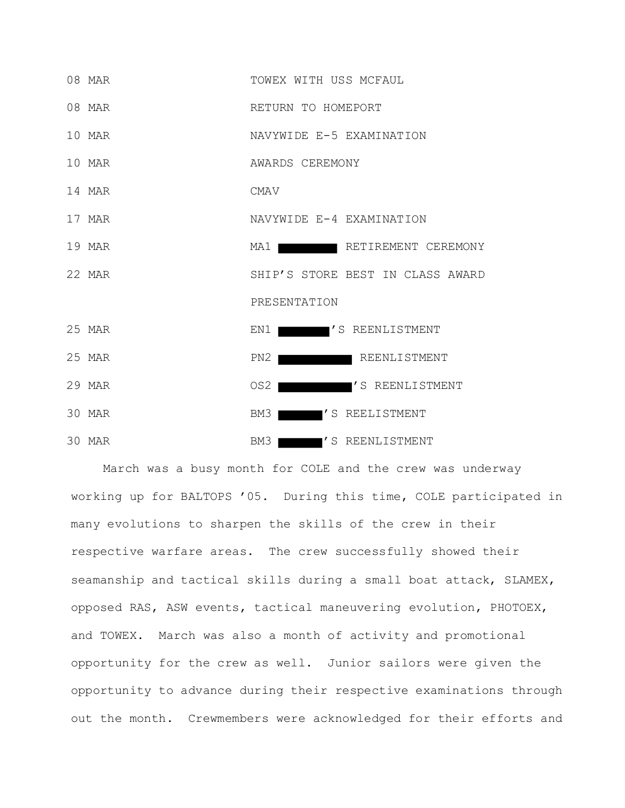

March was a busy month for COLE and the crew was underway working up for BALTOPS '05. During this time, COLE participated in many evolutions to sharpen the skills of the crew in their respective warfare areas. The crew successfully showed their seamanship and tactical skills during a small boat attack, SLAMEX, opposed RAS, ASW events, tactical maneuvering evolution, PHOTOEX, and TOWEX. March was also a month of activity and promotional opportunity for the crew as well. Junior sailors were given the opportunity to advance during their respective examinations through out the month. Crewmembers were acknowledged for their efforts and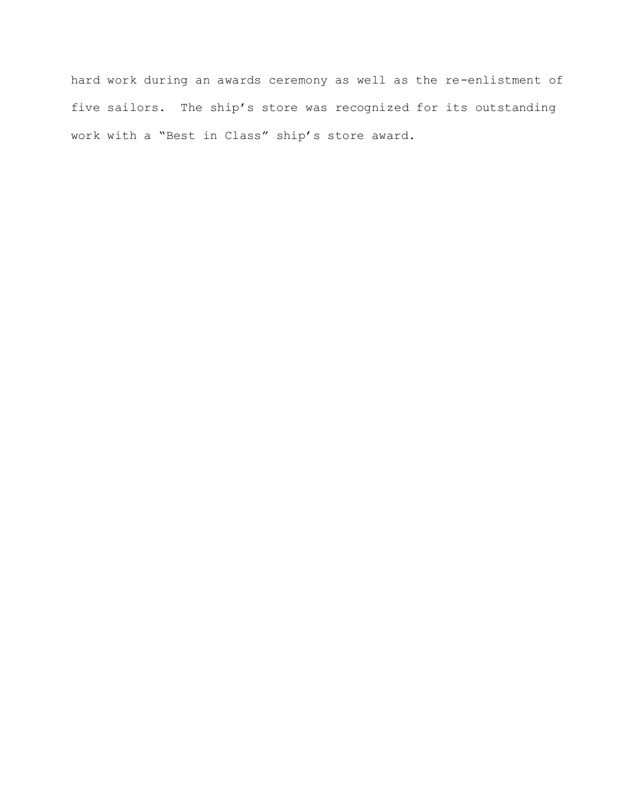hard work during an awards ceremony as well as the re-enlistment of five sailors. The ship's store was recognized for its outstanding work with a "Best in Class" ship's store award.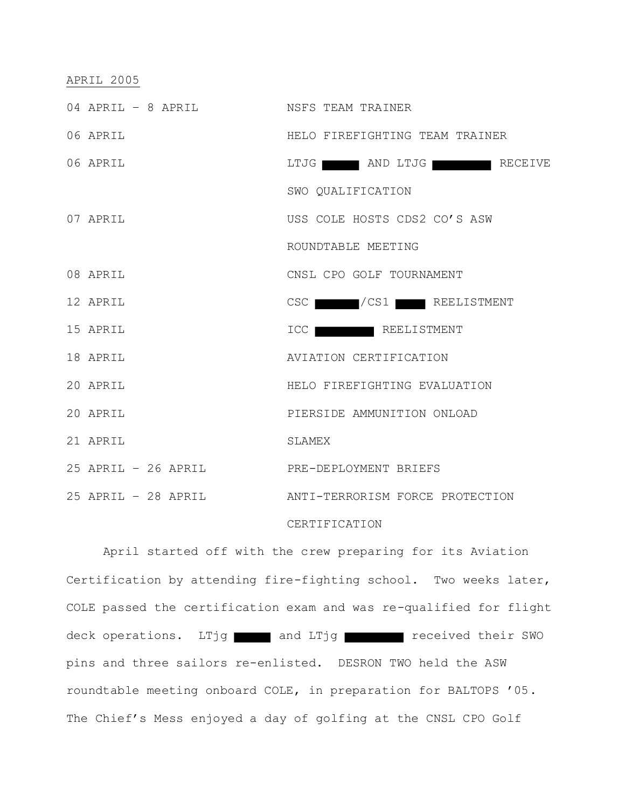### APRIL 2005

| 04 APRIL - 8 APRIL NSFS TEAM TRAINER      |                                                     |
|-------------------------------------------|-----------------------------------------------------|
| 06 APRIL                                  | HELO FIREFIGHTING TEAM TRAINER                      |
| 06 APRIL                                  | LTJG AND LTJG RECEIVE                               |
|                                           | SWO QUALIFICATION                                   |
| 07 APRIL                                  | USS COLE HOSTS CDS2 CO'S ASW                        |
|                                           | ROUNDTABLE MEETING                                  |
| 08 APRIL                                  | CNSL CPO GOLF TOURNAMENT                            |
| 12 APRIL                                  | CSC / CS1 REELISTMENT                               |
| 15 APRIL                                  | ICC REELISTMENT                                     |
| 18 APRIL                                  | AVIATION CERTIFICATION                              |
| 20 APRIL                                  | HELO FIREFIGHTING EVALUATION                        |
| 20 APRIL                                  | PIERSIDE AMMUNITION ONLOAD                          |
| 21 APRIL                                  | SLAMEX                                              |
| 25 APRIL - 26 APRIL PRE-DEPLOYMENT BRIEFS |                                                     |
|                                           | 25 APRIL - 28 APRIL ANTI-TERRORISM FORCE PROTECTION |
|                                           |                                                     |

### CERTIFICATION

April started off with the crew preparing for its Aviation Certification by attending fire-fighting school. Two weeks later, COLE passed the certification exam and was re-qualified for flight deck operations. LTjg and LTjg received their SWO pins and three sailors re-enlisted. DESRON TWO held the ASW roundtable meeting onboard COLE, in preparation for BALTOPS '05. The Chief's Mess enjoyed a day of golfing at the CNSL CPO Golf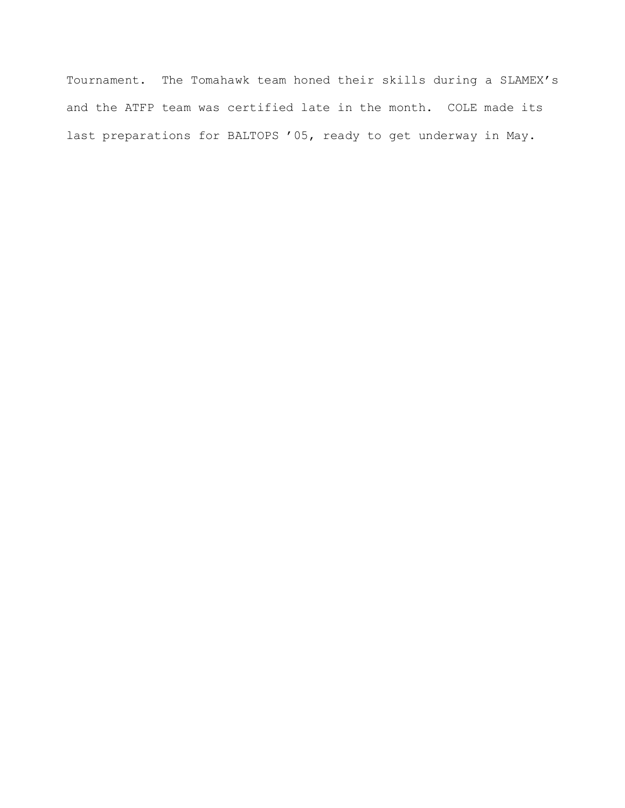Tournament. The Tomahawk team honed their skills during a SLAMEX's and the ATFP team was certified late in the month. COLE made its last preparations for BALTOPS '05, ready to get underway in May.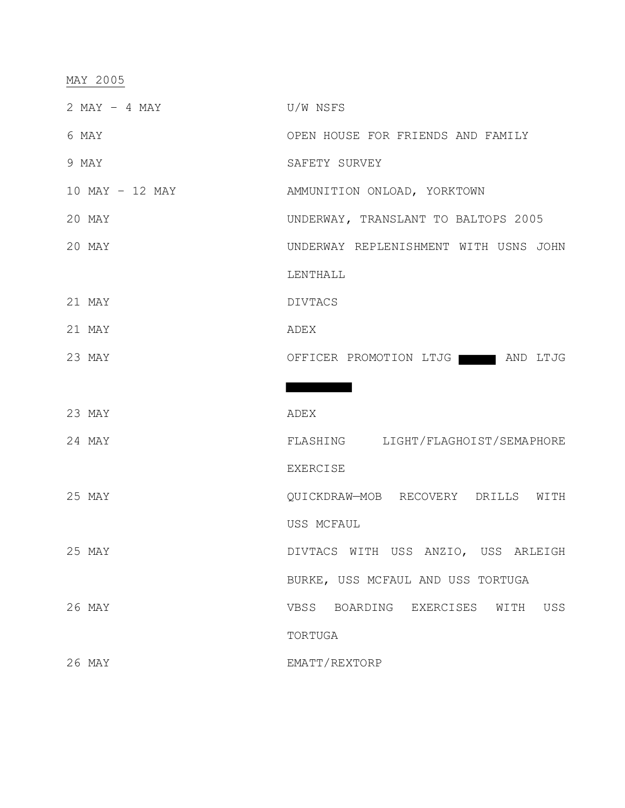# MAY 2005

| $2$ MAY $-$ 4 MAY | U/W NSFS                               |
|-------------------|----------------------------------------|
| 6 MAY             | OPEN HOUSE FOR FRIENDS AND FAMILY      |
| 9 MAY             | SAFETY SURVEY                          |
| 10 MAY - 12 MAY   | AMMUNITION ONLOAD, YORKTOWN            |
| 20 MAY            | UNDERWAY, TRANSLANT TO BALTOPS 2005    |
| 20 MAY            | UNDERWAY REPLENISHMENT WITH USNS JOHN  |
|                   | LENTHALL                               |
| 21 MAY            | <b>DIVTACS</b>                         |
| 21 MAY            | ADEX                                   |
| 23 MAY            | OFFICER PROMOTION LTJG WE AND LTJG     |
|                   |                                        |
| 23 MAY            | ADEX                                   |
| 24 MAY            | FLASHING LIGHT/FLAGHOIST/SEMAPHORE     |
|                   | <b>EXERCISE</b>                        |
| 25 MAY            | QUICKDRAW-MOB RECOVERY DRILLS WITH     |
|                   | USS MCFAUL                             |
| 25 MAY            | DIVTACS WITH USS ANZIO, USS ARLEIGH    |
|                   | BURKE, USS MCFAUL AND USS TORTUGA      |
| 26 MAY            | VBSS BOARDING EXERCISES<br>USS<br>WITH |
|                   | TORTUGA                                |
| 26 MAY            | EMATT/REXTORP                          |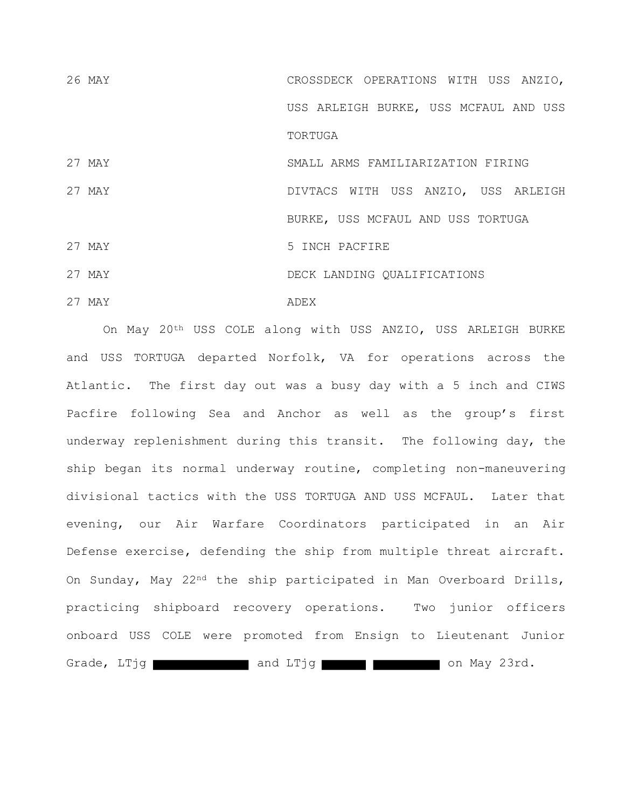26 MAY CROSSDECK OPERATIONS WITH USS ANZIO, USS ARLEIGH BURKE, USS MCFAUL AND USS **TORTUGA** 

27 MAY SMALL ARMS FAMILIARIZATION FIRING

27 MAY DIVTACS WITH USS ANZIO, USS ARLEIGH BURKE, USS MCFAUL AND USS TORTUGA 27 MAY 5 INCH PACFIRE 27 MAY DECK LANDING QUALIFICATIONS 27 MAY ADEX

On May 20<sup>th</sup> USS COLE along with USS ANZIO, USS ARLEIGH BURKE and USS TORTUGA departed Norfolk, VA for operations across the Atlantic. The first day out was a busy day with a 5 inch and CIWS Pacfire following Sea and Anchor as well as the group's first underway replenishment during this transit. The following day, the ship began its normal underway routine, completing non-maneuvering divisional tactics with the USS TORTUGA AND USS MCFAUL. Later that evening, our Air Warfare Coordinators participated in an Air Defense exercise, defending the ship from multiple threat aircraft. On Sunday, May 22nd the ship participated in Man Overboard Drills, practicing shipboard recovery operations. Two junior officers onboard USS COLE were promoted from Ensign to Lieutenant Junior Grade, LTjg **Canadian Canadian Canadian Canadian Canadian Canadian Canadian Canadian Canadian Canadian Canadian Canadian Canadian Canadian Canadian Canadian Canadian Canadian Canadian Canadian Canadian Canadian Canadian Ca**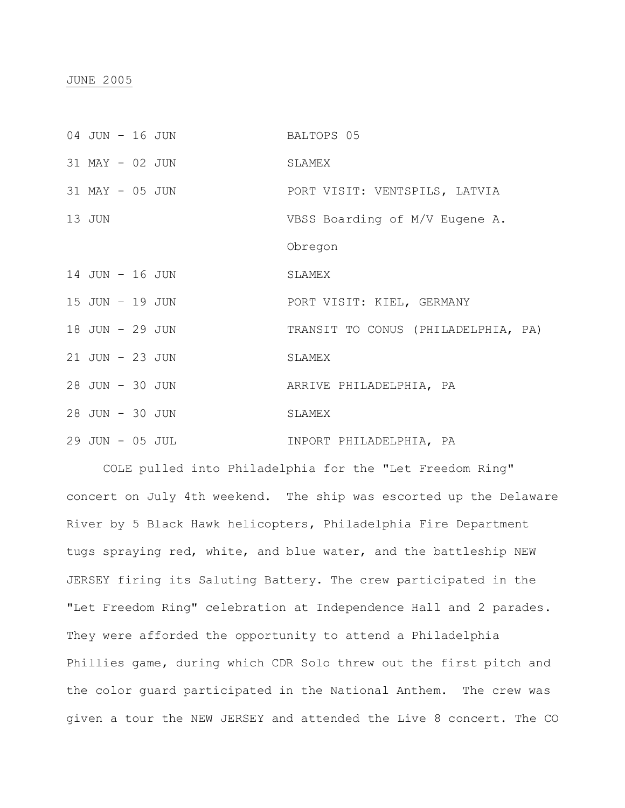| 04 JUN - 16 JUN |  | BALTOPS 05                          |
|-----------------|--|-------------------------------------|
| 31 MAY - 02 JUN |  | SLAMEX                              |
| 31 MAY - 05 JUN |  | PORT VISIT: VENTSPILS, LATVIA       |
| 13 JUN          |  | VBSS Boarding of M/V Eugene A.      |
|                 |  | Obregon                             |
| 14 JUN - 16 JUN |  | SLAMEX                              |
| 15 JUN - 19 JUN |  | PORT VISIT: KIEL, GERMANY           |
| 18 JUN - 29 JUN |  | TRANSIT TO CONUS (PHILADELPHIA, PA) |
| 21 JUN - 23 JUN |  | SLAMEX                              |
| 28 JUN - 30 JUN |  | ARRIVE PHILADELPHIA, PA             |
| 28 JUN - 30 JUN |  | SLAMEX                              |
| 29 JUN - 05 JUL |  | INPORT PHILADELPHIA, PA             |

COLE pulled into Philadelphia for the "Let Freedom Ring" concert on July 4th weekend. The ship was escorted up the Delaware River by 5 Black Hawk helicopters, Philadelphia Fire Department tugs spraying red, white, and blue water, and the battleship NEW JERSEY firing its Saluting Battery. The crew participated in the "Let Freedom Ring" celebration at Independence Hall and 2 parades. They were afforded the opportunity to attend a Philadelphia Phillies game, during which CDR Solo threw out the first pitch and the color guard participated in the National Anthem. The crew was given a tour the NEW JERSEY and attended the Live 8 concert. The CO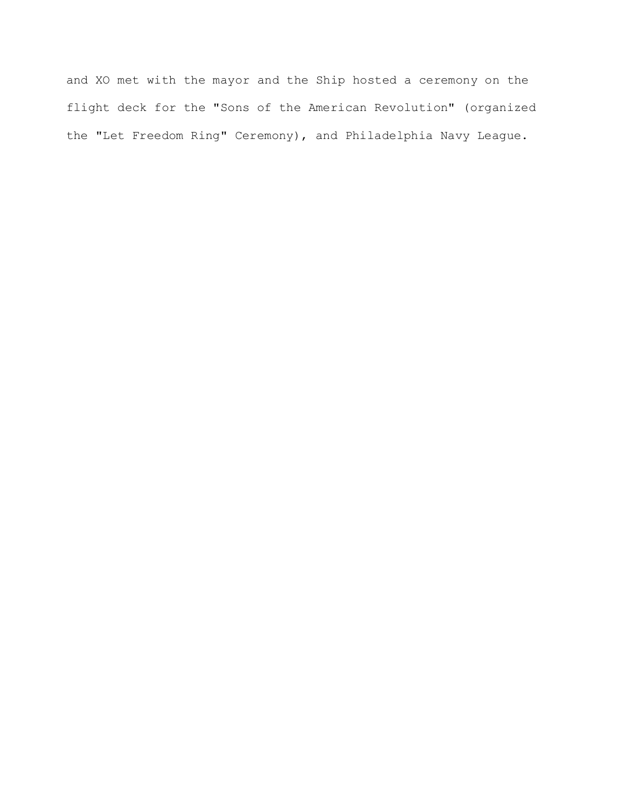and XO met with the mayor and the Ship hosted a ceremony on the flight deck for the "Sons of the American Revolution" (organized the "Let Freedom Ring" Ceremony), and Philadelphia Navy League.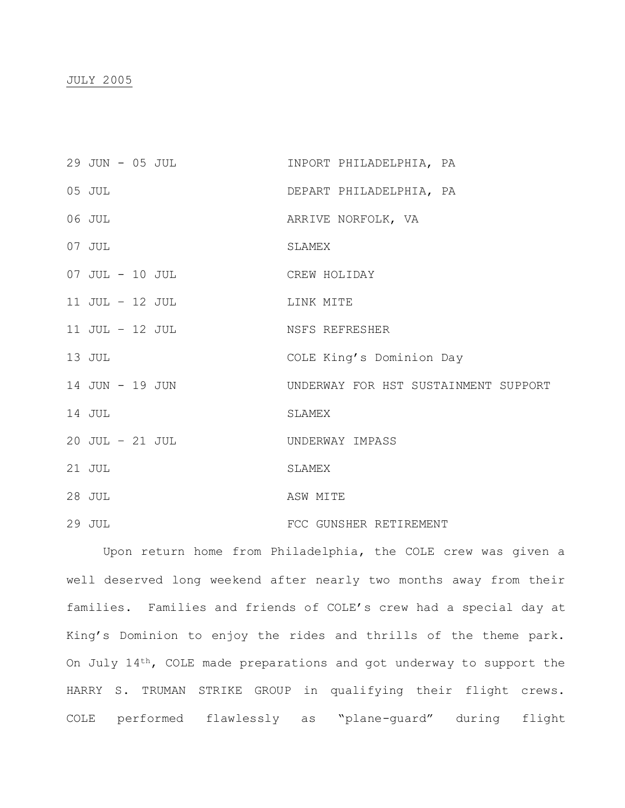### JULY 2005

| 29 JUN - 05 JUL | INPORT PHILADELPHIA, PA              |
|-----------------|--------------------------------------|
| 05 JUL          | DEPART PHILADELPHIA, PA              |
| 06 JUL          | ARRIVE NORFOLK, VA                   |
| 07 JUL          | SLAMEX                               |
| 07 JUL - 10 JUL | CREW HOLIDAY                         |
| 11 JUL - 12 JUL | LINK MITE                            |
| 11 JUL - 12 JUL | NSFS REFRESHER                       |
| 13 JUL          | COLE King's Dominion Day             |
| 14 JUN - 19 JUN | UNDERWAY FOR HST SUSTAINMENT SUPPORT |
| 14 JUL          | SLAMEX                               |
| 20 JUL - 21 JUL | UNDERWAY IMPASS                      |
| 21 JUL          | SLAMEX                               |
| 28 JUL          | ASW MITE                             |
| 29 JUL          | FCC GUNSHER RETIREMENT               |

Upon return home from Philadelphia, the COLE crew was given a well deserved long weekend after nearly two months away from their families. Families and friends of COLE's crew had a special day at King's Dominion to enjoy the rides and thrills of the theme park. On July 14th, COLE made preparations and got underway to support the HARRY S. TRUMAN STRIKE GROUP in qualifying their flight crews. COLE performed flawlessly as "plane-guard" during flight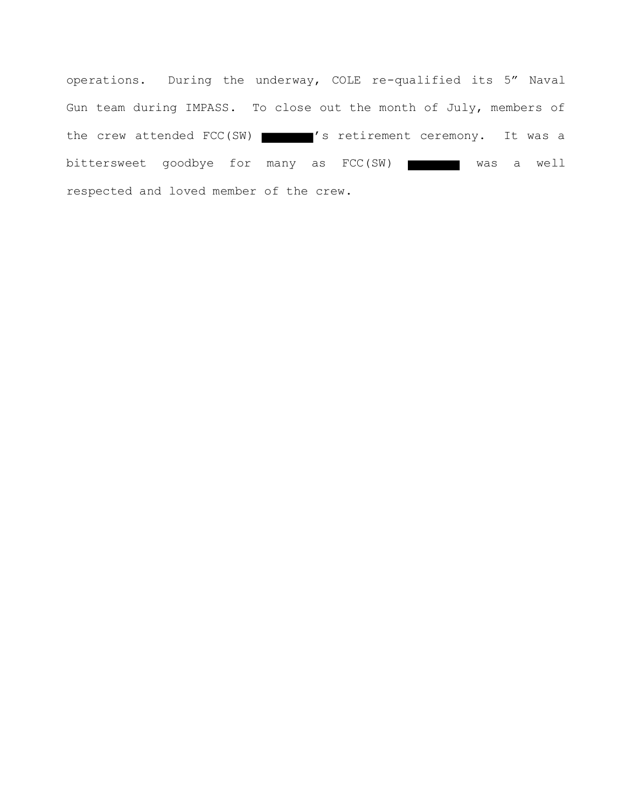operations. During the underway, COLE re-qualified its 5" Naval Gun team during IMPASS. To close out the month of July, members of the crew attended FCC(SW)  $\blacksquare$ 's retirement ceremony. It was a bittersweet goodbye for many as FCC(SW) was a well respected and loved member of the crew.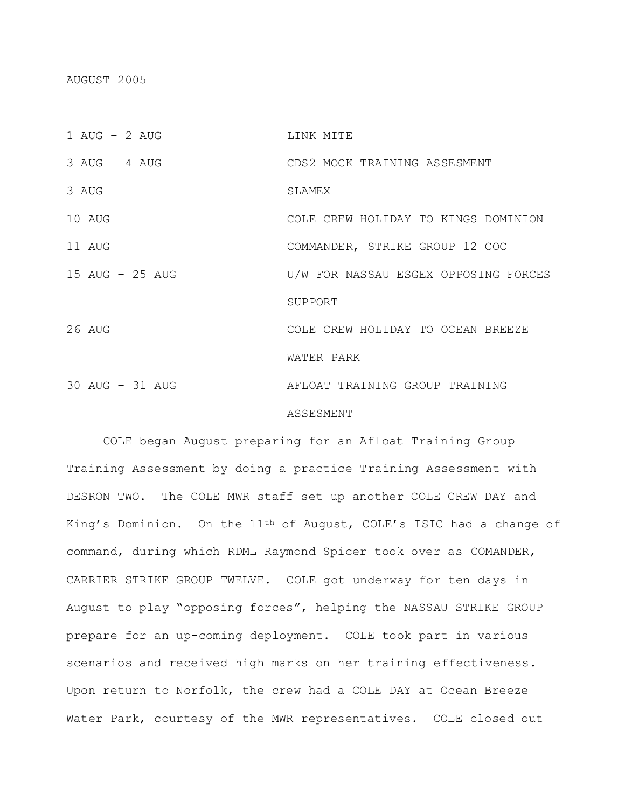## AUGUST 2005

| 1 AUG $-$ 2 AUG | LINK MITE                            |
|-----------------|--------------------------------------|
| $3 AUG - 4 AUG$ | CDS2 MOCK TRAINING ASSESMENT         |
| 3 AUG           | SLAMEX                               |
| 10 AUG          | COLE CREW HOLIDAY TO KINGS DOMINION  |
| 11 AUG          | COMMANDER, STRIKE GROUP 12 COC       |
| 15 AUG - 25 AUG | U/W FOR NASSAU ESGEX OPPOSING FORCES |
|                 | SUPPORT                              |
| 26 AUG          | COLE CREW HOLIDAY TO OCEAN BREEZE    |
|                 | WATER PARK                           |
| 30 AUG - 31 AUG | AFLOAT TRAINING GROUP TRAINING       |
|                 | ASSESMENT                            |

COLE began August preparing for an Afloat Training Group Training Assessment by doing a practice Training Assessment with DESRON TWO. The COLE MWR staff set up another COLE CREW DAY and King's Dominion. On the 11th of August, COLE's ISIC had a change of command, during which RDML Raymond Spicer took over as COMANDER, CARRIER STRIKE GROUP TWELVE. COLE got underway for ten days in August to play "opposing forces", helping the NASSAU STRIKE GROUP prepare for an up-coming deployment. COLE took part in various scenarios and received high marks on her training effectiveness. Upon return to Norfolk, the crew had a COLE DAY at Ocean Breeze Water Park, courtesy of the MWR representatives. COLE closed out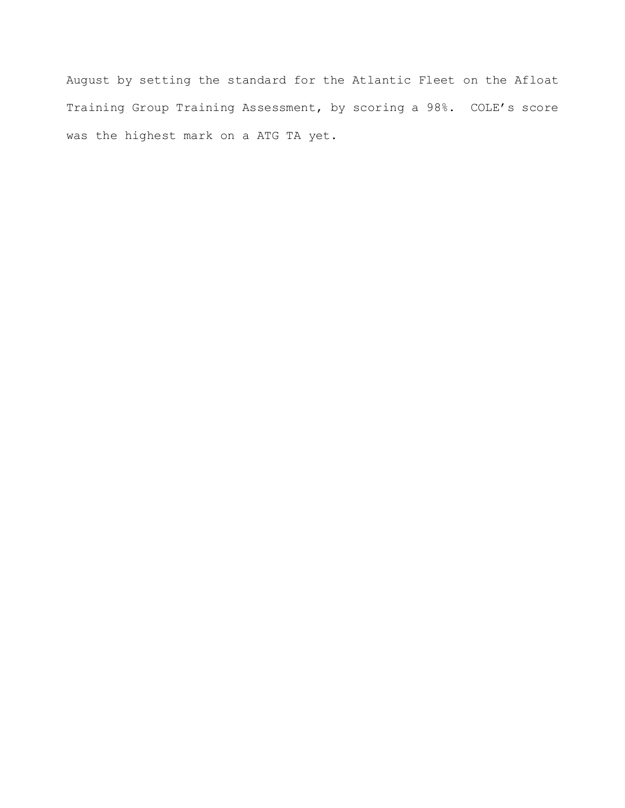August by setting the standard for the Atlantic Fleet on the Afloat Training Group Training Assessment, by scoring a 98%. COLE's score was the highest mark on a ATG TA yet.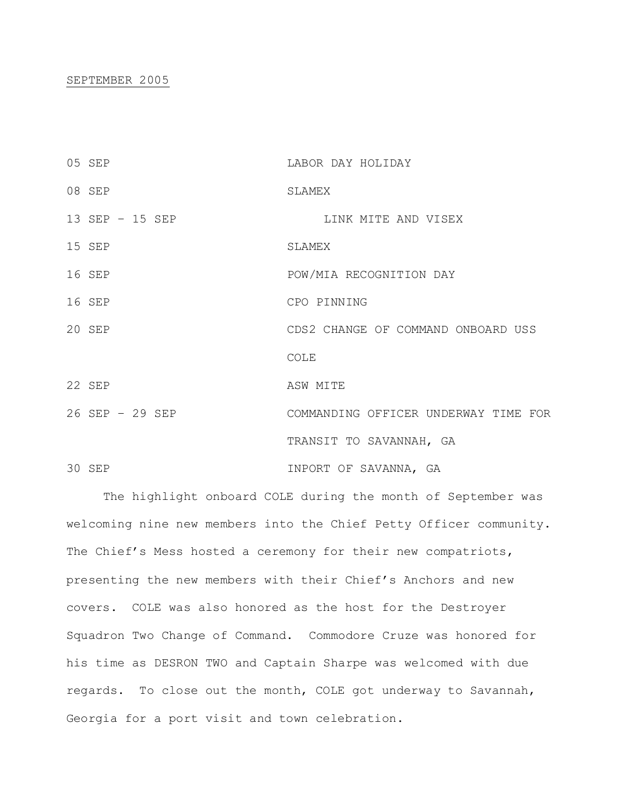#### SEPTEMBER 2005

| 05 SEP          | LABOR DAY HOLIDAY                    |
|-----------------|--------------------------------------|
| 08 SEP          | SLAMEX                               |
| 13 SEP - 15 SEP | LINK MITE AND VISEX                  |
| 15 SEP          | SLAMEX                               |
| 16 SEP          | POW/MIA RECOGNITION DAY              |
| 16 SEP          | CPO PINNING                          |
| 20 SEP          | CDS2 CHANGE OF COMMAND ONBOARD USS   |
|                 | COLE                                 |
| 22 SEP          | ASW MITE                             |
| 26 SEP - 29 SEP | COMMANDING OFFICER UNDERWAY TIME FOR |
|                 | TRANSIT TO SAVANNAH, GA              |
| 30 SEP          | INPORT OF SAVANNA, GA                |

The highlight onboard COLE during the month of September was welcoming nine new members into the Chief Petty Officer community. The Chief's Mess hosted a ceremony for their new compatriots, presenting the new members with their Chief's Anchors and new covers. COLE was also honored as the host for the Destroyer Squadron Two Change of Command. Commodore Cruze was honored for his time as DESRON TWO and Captain Sharpe was welcomed with due regards. To close out the month, COLE got underway to Savannah, Georgia for a port visit and town celebration.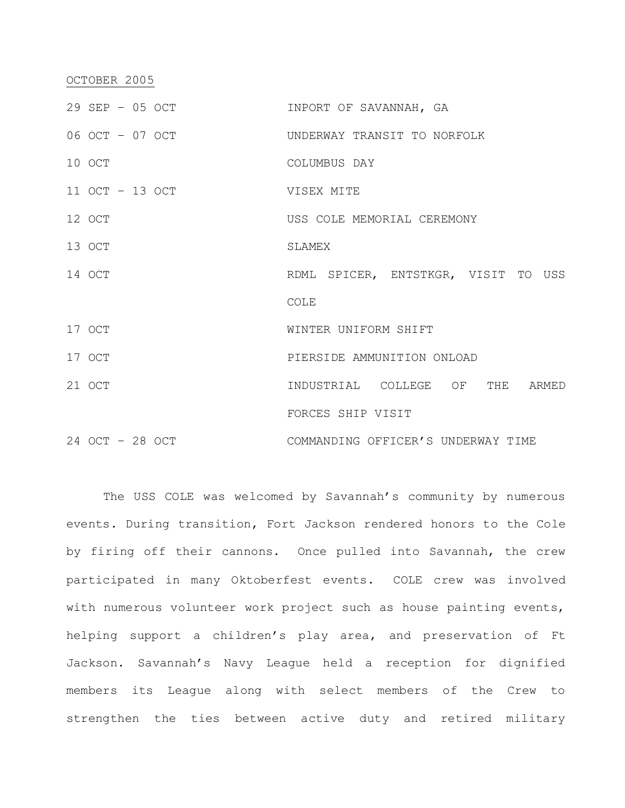## OCTOBER 2005

| 29 SEP - 05 OCT | INPORT OF SAVANNAH, GA              |
|-----------------|-------------------------------------|
| 06 OCT - 07 OCT | UNDERWAY TRANSIT TO NORFOLK         |
| 10 OCT          | COLUMBUS DAY                        |
| 11 OCT - 13 OCT | VISEX MITE                          |
| 12 OCT          | USS COLE MEMORIAL CEREMONY          |
| 13 OCT          | SLAMEX                              |
| 14 OCT          | RDML SPICER, ENTSTKGR, VISIT TO USS |
|                 | COLE                                |
| 17 OCT          | WINTER UNIFORM SHIFT                |
| 17 OCT          | PIERSIDE AMMUNITION ONLOAD          |
| 21 OCT          | INDUSTRIAL COLLEGE OF THE ARMED     |
|                 | FORCES SHIP VISIT                   |
| 24 OCT - 28 OCT | COMMANDING OFFICER'S UNDERWAY TIME  |

The USS COLE was welcomed by Savannah's community by numerous events. During transition, Fort Jackson rendered honors to the Cole by firing off their cannons. Once pulled into Savannah, the crew participated in many Oktoberfest events. COLE crew was involved with numerous volunteer work project such as house painting events, helping support a children's play area, and preservation of Ft Jackson. Savannah's Navy League held a reception for dignified members its League along with select members of the Crew to strengthen the ties between active duty and retired military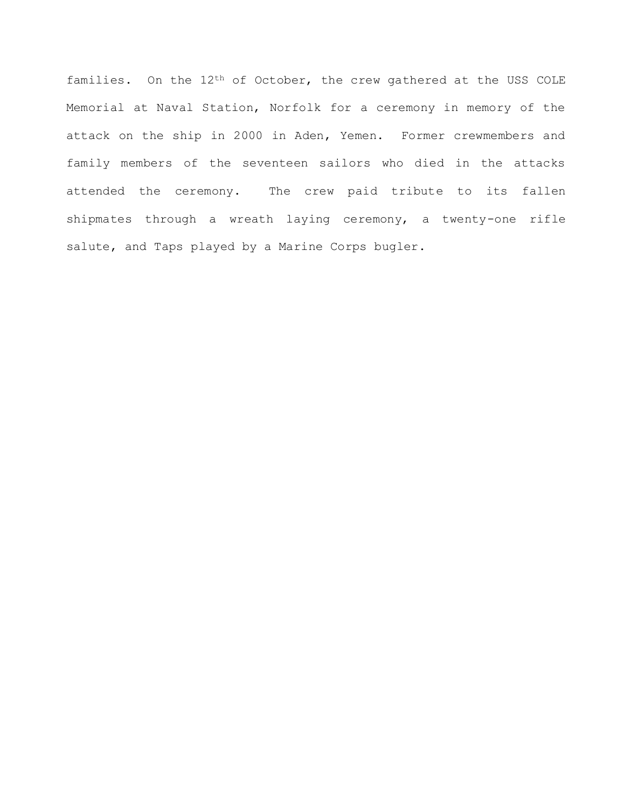families. On the 12th of October, the crew gathered at the USS COLE Memorial at Naval Station, Norfolk for a ceremony in memory of the attack on the ship in 2000 in Aden, Yemen. Former crewmembers and family members of the seventeen sailors who died in the attacks attended the ceremony. The crew paid tribute to its fallen shipmates through a wreath laying ceremony, a twenty-one rifle salute, and Taps played by a Marine Corps bugler.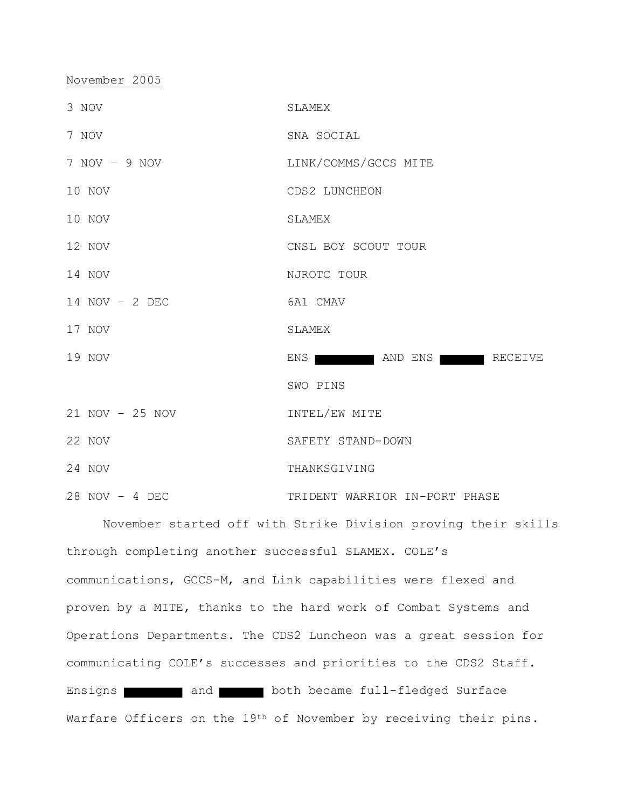November 2005

| 3 NOV            | SLAMEX                        |
|------------------|-------------------------------|
| 7 NOV            | SNA SOCIAL                    |
| $7 NOV - 9 NOV$  | LINK/COMMS/GCCS MITE          |
| 10 NOV           | CDS2 LUNCHEON                 |
| 10 NOV           | SLAMEX                        |
| 12 NOV           | CNSL BOY SCOUT TOUR           |
| 14 NOV           | NJROTC TOUR                   |
| $14$ NOV - 2 DEC | 6A1 CMAV                      |
| 17 NOV           | SLAMEX                        |
| 19 NOV           | ENS AND ENS RECEIVE           |
|                  | SWO PINS                      |
| 21 NOV - 25 NOV  | INTEL/EW MITE                 |
| 22 NOV           | SAFETY STAND-DOWN             |
| 24 NOV           | THANKSGIVING                  |
| $28$ NOV - 4 DEC | TRIDENT WARRIOR IN-PORT PHASE |

November started off with Strike Division proving their skills through completing another successful SLAMEX. COLE's communications, GCCS-M, and Link capabilities were flexed and proven by a MITE, thanks to the hard work of Combat Systems and Operations Departments. The CDS2 Luncheon was a great session for communicating COLE's successes and priorities to the CDS2 Staff. Ensigns and and both became full-fledged Surface Warfare Officers on the 19<sup>th</sup> of November by receiving their pins.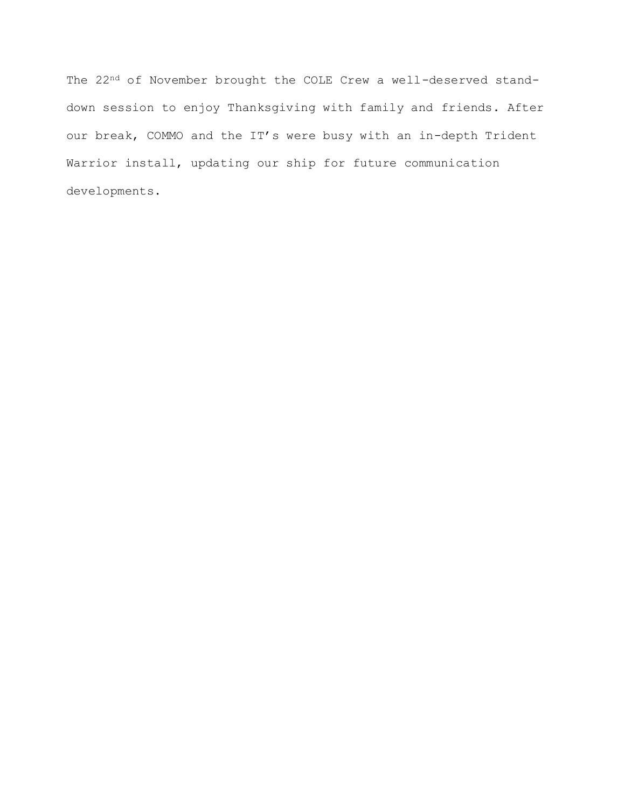The 22<sup>nd</sup> of November brought the COLE Crew a well-deserved standdown session to enjoy Thanksgiving with family and friends. After our break, COMMO and the IT's were busy with an in-depth Trident Warrior install, updating our ship for future communication developments.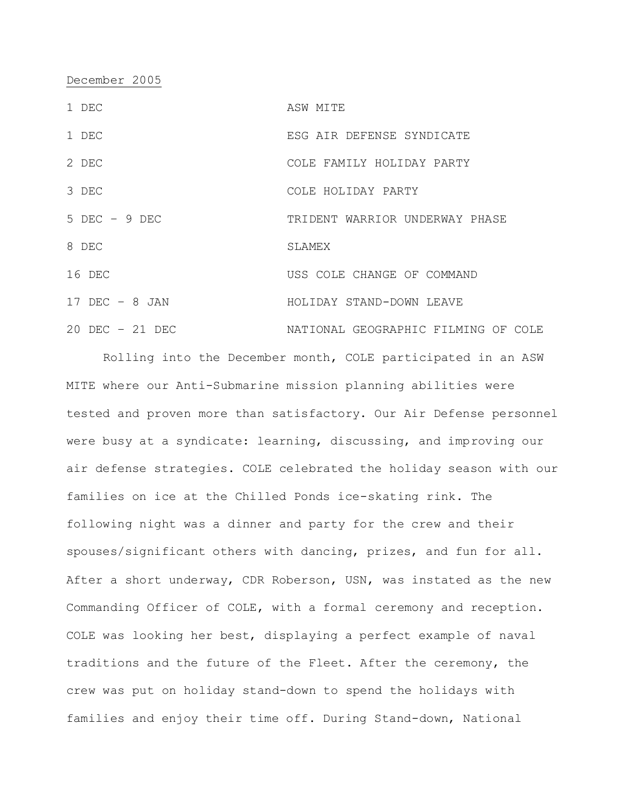December 2005

| 1 DEC              | ASW MITE                            |
|--------------------|-------------------------------------|
| 1 DEC              | ESG AIR DEFENSE SYNDICATE           |
| 2 DEC              | COLE FAMILY HOLIDAY PARTY           |
| 3 DEC              | COLE HOLIDAY PARTY                  |
| $5$ DEC $-$ 9 DEC  | TRIDENT WARRIOR UNDERWAY PHASE      |
| 8 DEC              | SLAMEX                              |
| 16 DEC             | USS COLE CHANGE OF COMMAND          |
| $17$ DEC - 8 JAN   | HOLIDAY STAND-DOWN LEAVE            |
| $20$ DEC $-21$ DEC | NATIONAL GEOGRAPHIC FILMING OF COLE |

Rolling into the December month, COLE participated in an ASW MITE where our Anti-Submarine mission planning abilities were tested and proven more than satisfactory. Our Air Defense personnel were busy at a syndicate: learning, discussing, and improving our air defense strategies. COLE celebrated the holiday season with our families on ice at the Chilled Ponds ice-skating rink. The following night was a dinner and party for the crew and their spouses/significant others with dancing, prizes, and fun for all. After a short underway, CDR Roberson, USN, was instated as the new Commanding Officer of COLE, with a formal ceremony and reception. COLE was looking her best, displaying a perfect example of naval traditions and the future of the Fleet. After the ceremony, the crew was put on holiday stand-down to spend the holidays with families and enjoy their time off. During Stand-down, National